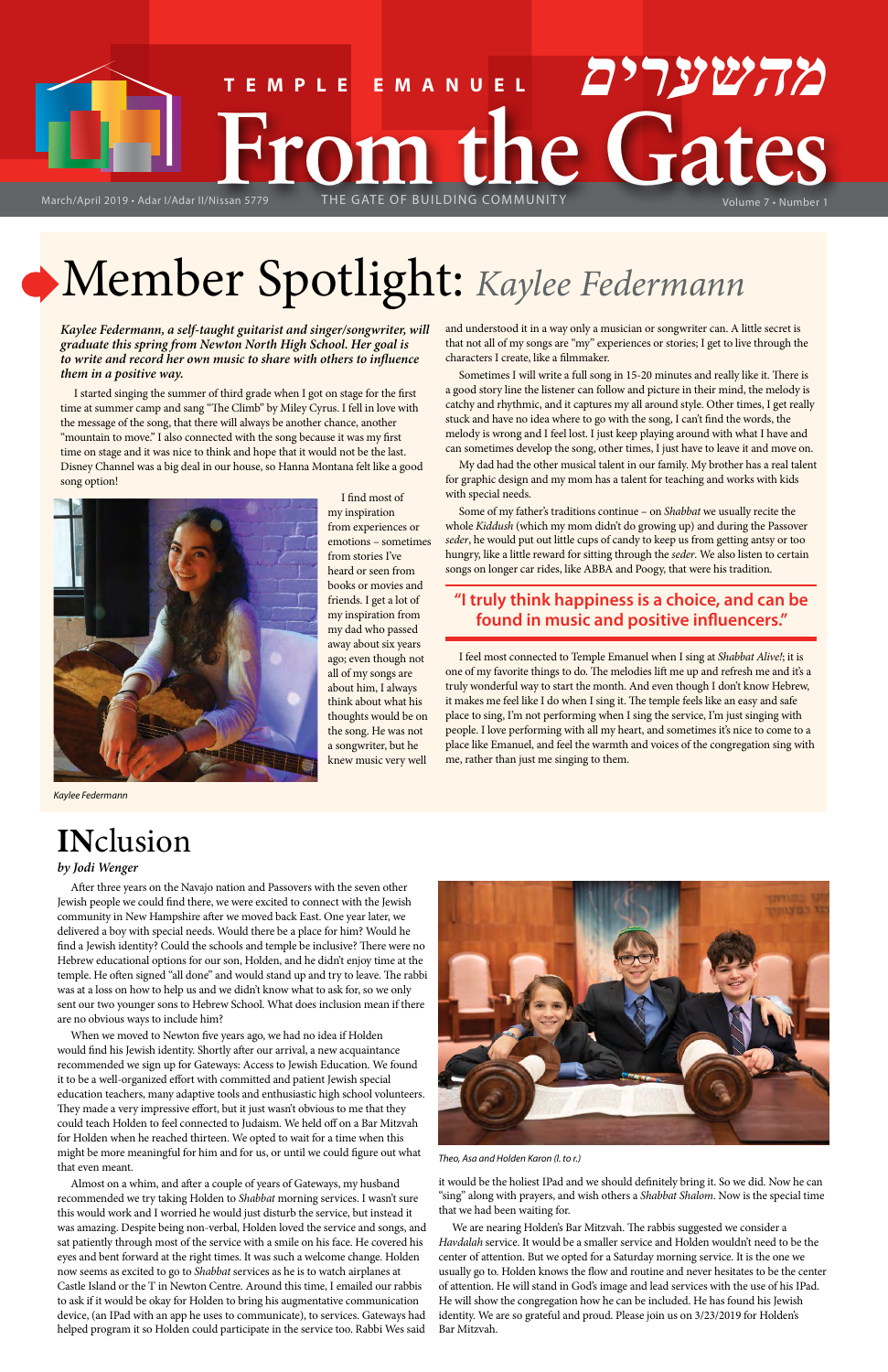*Kaylee Federmann, a self-taught guitarist and singer/songwriter, will graduate this spring from Newton North High School. Her goal is to write and record her own music to share with others to influence them in a positive way.*

I started singing the summer of third grade when I got on stage for the first time at summer camp and sang "The Climb" by Miley Cyrus. I fell in love with the message of the song, that there will always be another chance, another "mountain to move." I also connected with the song because it was my first time on stage and it was nice to think and hope that it would not be the last. Disney Channel was a big deal in our house, so Hanna Montana felt like a good song option!



I find most of my inspiration from experiences or emotions – sometimes from stories I've heard or seen from books or movies and friends. I get a lot of my inspiration from my dad who passed away about six years ago; even though not all of my songs are about him, I always think about what his thoughts would be on the song. He was not a songwriter, but he knew music very well

and understood it in a way only a musician or songwriter can. A little secret is that not all of my songs are "my" experiences or stories; I get to live through the characters I create, like a filmmaker.

Sometimes I will write a full song in 15-20 minutes and really like it. There is a good story line the listener can follow and picture in their mind, the melody is catchy and rhythmic, and it captures my all around style. Other times, I get really stuck and have no idea where to go with the song, I can't find the words, the melody is wrong and I feel lost. I just keep playing around with what I have and can sometimes develop the song, other times, I just have to leave it and move on.

# **FRom the Gate of Building Cates TEMPLE EMANUEL מהשערים**

My dad had the other musical talent in our family. My brother has a real talent for graphic design and my mom has a talent for teaching and works with kids with special needs.

Some of my father's traditions continue – on *Shabbat* we usually recite the whole *Kiddush* (which my mom didn't do growing up) and during the Passover *seder*, he would put out little cups of candy to keep us from getting antsy or too hungry, like a little reward for sitting through the *seder*. We also listen to certain songs on longer car rides, like ABBA and Poogy, that were his tradition.

## **"I truly think happiness is a choice, and can be found in music and positive influencers."**

I feel most connected to Temple Emanuel when I sing at *Shabbat Alive!*; it is one of my favorite things to do. The melodies lift me up and refresh me and it's a truly wonderful way to start the month. And even though I don't know Hebrew, it makes me feel like I do when I sing it. The temple feels like an easy and safe place to sing, I'm not performing when I sing the service, I'm just singing with people. I love performing with all my heart, and sometimes it's nice to come to a place like Emanuel, and feel the warmth and voices of the congregation sing with me, rather than just me singing to them.



# Member Spotlight: *Kaylee Federmann*

*Theo, Asa and Holden Karon (l. to r.)*

# **IN**clusion *by Jodi Wenger*

After three years on the Navajo nation and Passovers with the seven other Jewish people we could find there, we were excited to connect with the Jewish community in New Hampshire after we moved back East. One year later, we delivered a boy with special needs. Would there be a place for him? Would he find a Jewish identity? Could the schools and temple be inclusive? There were no Hebrew educational options for our son, Holden, and he didn't enjoy time at the temple. He often signed "all done" and would stand up and try to leave. The rabbi was at a loss on how to help us and we didn't know what to ask for, so we only sent our two younger sons to Hebrew School. What does inclusion mean if there

are no obvious ways to include him?

When we moved to Newton five years ago, we had no idea if Holden would find his Jewish identity. Shortly after our arrival, a new acquaintance recommended we sign up for Gateways: Access to Jewish Education. We found it to be a well-organized effort with committed and patient Jewish special education teachers, many adaptive tools and enthusiastic high school volunteers. They made a very impressive effort, but it just wasn't obvious to me that they could teach Holden to feel connected to Judaism. We held off on a Bar Mitzvah for Holden when he reached thirteen. We opted to wait for a time when this might be more meaningful for him and for us, or until we could figure out what that even meant.

Almost on a whim, and after a couple of years of Gateways, my husband recommended we try taking Holden to *Shabbat* morning services. I wasn't sure this would work and I worried he would just disturb the service, but instead it was amazing. Despite being non-verbal, Holden loved the service and songs, and sat patiently through most of the service with a smile on his face. He covered his eyes and bent forward at the right times. It was such a welcome change. Holden now seems as excited to go to *Shabbat* services as he is to watch airplanes at Castle Island or the T in Newton Centre. Around this time, I emailed our rabbis to ask if it would be okay for Holden to bring his augmentative communication device, (an IPad with an app he uses to communicate), to services. Gateways had helped program it so Holden could participate in the service too. Rabbi Wes said it would be the holiest IPad and we should definitely bring it. So we did. Now he can "sing" along with prayers, and wish others a *Shabbat Shalom*. Now is the special time that we had been waiting for.

We are nearing Holden's Bar Mitzvah. The rabbis suggested we consider a *Havdalah* service. It would be a smaller service and Holden wouldn't need to be the center of attention. But we opted for a Saturday morning service. It is the one we usually go to. Holden knows the flow and routine and never hesitates to be the center of attention. He will stand in God's image and lead services with the use of his IPad. He will show the congregation how he can be included. He has found his Jewish identity. We are so grateful and proud. Please join us on 3/23/2019 for Holden's Bar Mitzvah.

*Kaylee Federmann*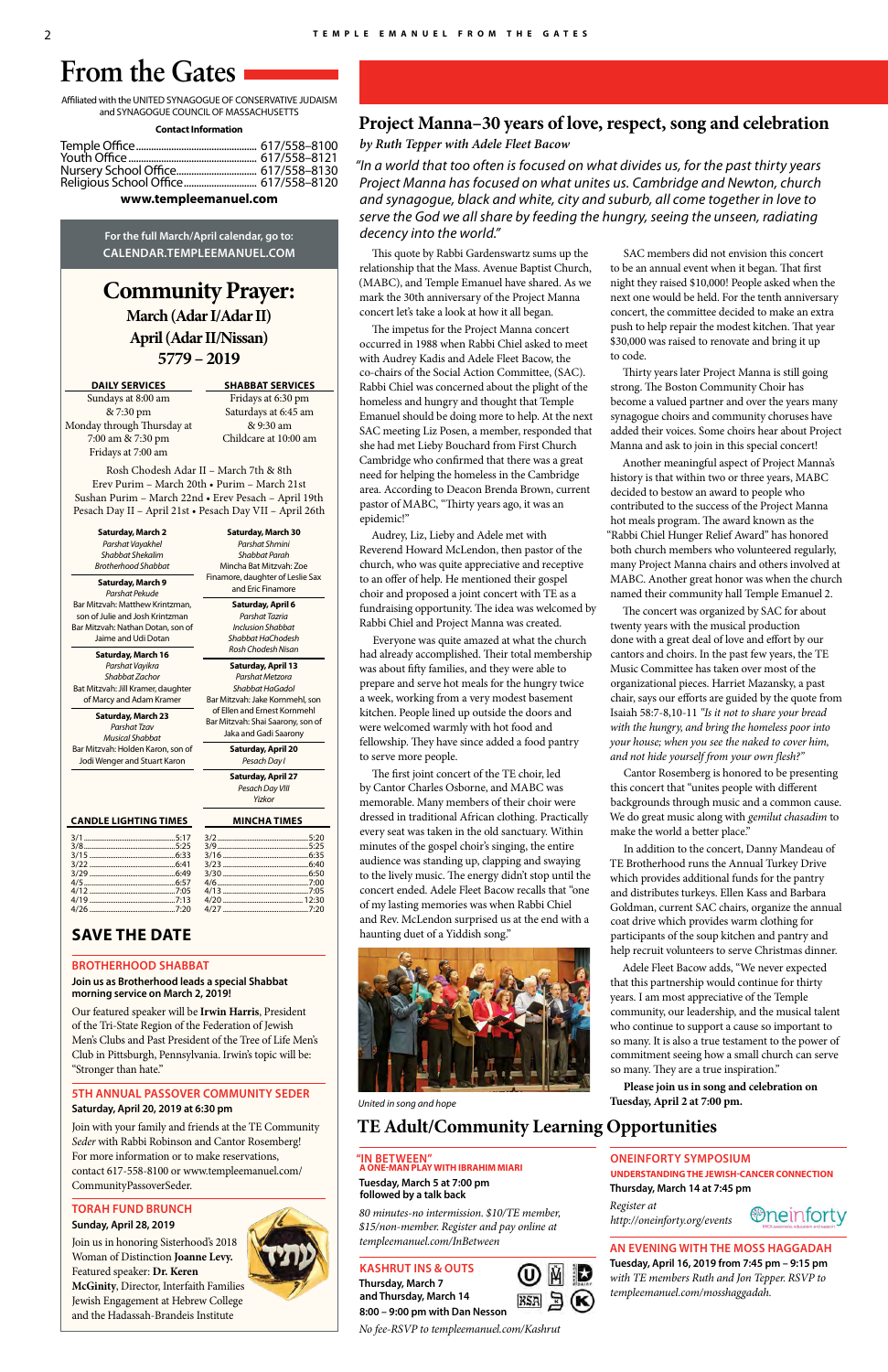**Community Prayer: March (Adar I/Adar II) April (Adar II/Nissan) 5779 – 2019**

**DAILY SERVICES**

Sundays at 8:00 am & 7:30 pm Monday through Thursday at 7:00 am & 7:30 pm Fridays at 7:00 am

#### **SHABBAT SERVICES**

Fridays at 6:30 pm Saturdays at 6:45 am & 9:30 am Childcare at 10:00 am

Rosh Chodesh Adar II – March 7th & 8th Erev Purim – March 20th • Purim – March 21st Sushan Purim – March 22nd • Erev Pesach – April 19th Pesach Day II – April 21st • Pesach Day VII – April 26th

Affiliated with the UNITED SYNAGOGUE OF CONSERVATIVE JUDAISM and SYNAGOGUE COUNCIL OF MASSACHUSETTS

#### **Contact Information**

| Religious School Office 617/558-8120 |  |
|--------------------------------------|--|
|                                      |  |

#### **www.templeemanuel.com**

**For the full March/April calendar, go to: CALENDAR.TEMPLEEMANUEL.COM**

# **From the Gates**

#### **CANDLE LIGHTING TIMES MINCHA TIMES**

### **SAVE THE DATE**

#### **BROTHERHOOD SHABBAT**

**Join us as Brotherhood leads a special Shabbat morning service on March 2, 2019!**

Our featured speaker will be **Irwin Harris**, President of the Tri-State Region of the Federation of Jewish Men's Clubs and Past President of the Tree of Life Men's Club in Pittsburgh, Pennsylvania. Irwin's topic will be: "Stronger than hate."

#### **5TH ANNUAL PASSOVER COMMUNITY SEDER Saturday, April 20, 2019 at 6:30 pm**

Join with your family and friends at the TE Community *Seder* with Rabbi Robinson and Cantor Rosemberg! For more information or to make reservations, contact 617-558-8100 or www.templeemanuel.com/ CommunityPassoverSeder.

#### **TORAH FUND BRUNCH Sunday, April 28, 2019**

Join us in honoring Sisterhood's 2018 Woman of Distinction **Joanne Levy.** Featured speaker: **Dr. Keren McGinity**, Director, Interfaith Families Jewish Engagement at Hebrew College and the Hadassah-Brandeis Institute



**Saturday, March 2** *Parshat Vayakhel Shabbat Shekalim Brotherhood Shabbat*

**Saturday, March 9** *Parshat Pekude* Bar Mitzvah: Matthew Krintzman, son of Julie and Josh Krintzman Bar Mitzvah: Nathan Dotan, son of Jaime and Udi Dotan

**Saturday, March 16** *Parshat Vayikra Shabbat Zachor* Bat Mitzvah: Jill Kramer, daughter of Marcy and Adam Kramer

**Saturday, March 23** *Parshat Tzav Musical Shabbat* Bar Mitzvah: Holden Karon, son of Jodi Wenger and Stuart Karon

**Saturday, March 30** *Parshat Shmini Shabbat Parah* Mincha Bat Mitzvah: Zoe

Finamore, daughter of Leslie Sax and Eric Finamore **Saturday, April 6** *Parshat Tazria Inclusion Shabbat Shabbat HaChodesh Rosh Chodesh Nisan*

**Saturday, April 13** *Parshat Metzora Shabbat HaGadol* Bar Mitzvah: Jake Kornmehl, son of Ellen and Ernest Kornmehl Bar Mitzvah: Shai Saarony, son of

Jaka and Gadi Saarony **Saturday, April 20**

*Pesach Day I*

**Saturday, April 27** *Pesach Day VIII Yizkor*

## **Project Manna–30 years of love, respect, song and celebration**

*by Ruth Tepper with Adele Fleet Bacow*

*"In a world that too often is focused on what divides us, for the past thirty years Project Manna has focused on what unites us. Cambridge and Newton, church and synagogue, black and white, city and suburb, all come together in love to serve the God we all share by feeding the hungry, seeing the unseen, radiating decency into the world."*

This quote by Rabbi Gardenswartz sums up the relationship that the Mass. Avenue Baptist Church, (MABC), and Temple Emanuel have shared. As we mark the 30th anniversary of the Project Manna concert let's take a look at how it all began.

The impetus for the Project Manna concert occurred in 1988 when Rabbi Chiel asked to meet with Audrey Kadis and Adele Fleet Bacow, the co-chairs of the Social Action Committee, (SAC). Rabbi Chiel was concerned about the plight of the homeless and hungry and thought that Temple Emanuel should be doing more to help. At the next SAC meeting Liz Posen, a member, responded that she had met Lieby Bouchard from First Church Cambridge who confirmed that there was a great need for helping the homeless in the Cambridge area. According to Deacon Brenda Brown, current pastor of MABC, "Thirty years ago, it was an epidemic!"

Audrey, Liz, Lieby and Adele met with Reverend Howard McLendon, then pastor of the church, who was quite appreciative and receptive to an offer of help. He mentioned their gospel choir and proposed a joint concert with TE as a fundraising opportunity. The idea was welcomed by Rabbi Chiel and Project Manna was created.

Everyone was quite amazed at what the church had already accomplished. Their total membership was about fifty families, and they were able to prepare and serve hot meals for the hungry twice a week, working from a very modest basement kitchen. People lined up outside the doors and were welcomed warmly with hot food and fellowship. They have since added a food pantry to serve more people.

The first joint concert of the TE choir, led by Cantor Charles Osborne, and MABC was memorable. Many members of their choir were dressed in traditional African clothing. Practically every seat was taken in the old sanctuary. Within minutes of the gospel choir's singing, the entire audience was standing up, clapping and swaying to the lively music. The energy didn't stop until the concert ended. Adele Fleet Bacow recalls that "one of my lasting memories was when Rabbi Chiel and Rev. McLendon surprised us at the end with a haunting duet of a Yiddish song."



SAC members did not envision this concert to be an annual event when it began. That first night they raised \$10,000! People asked when the next one would be held. For the tenth anniversary concert, the committee decided to make an extra push to help repair the modest kitchen. That year \$30,000 was raised to renovate and bring it up to code.

Thirty years later Project Manna is still going strong. The Boston Community Choir has become a valued partner and over the years many synagogue choirs and community choruses have added their voices. Some choirs hear about Project Manna and ask to join in this special concert!

Another meaningful aspect of Project Manna's history is that within two or three years, MABC decided to bestow an award to people who contributed to the success of the Project Manna hot meals program. The award known as the "Rabbi Chiel Hunger Relief Award" has honored both church members who volunteered regularly, many Project Manna chairs and others involved at MABC. Another great honor was when the church named their community hall Temple Emanuel 2.

The concert was organized by SAC for about twenty years with the musical production done with a great deal of love and effort by our cantors and choirs. In the past few years, the TE Music Committee has taken over most of the organizational pieces. Harriet Mazansky, a past chair, says our efforts are guided by the quote from Isaiah 58:7-8,10-11 *"Is it not to share your bread with the hungry, and bring the homeless poor into your house; when you see the naked to cover him, and not hide yourself from your own flesh?"*

Cantor Rosemberg is honored to be presenting this concert that "unites people with different backgrounds through music and a common cause. We do great music along with *gemilut chasadim* to make the world a better place."

In addition to the concert, Danny Mandeau of TE Brotherhood runs the Annual Turkey Drive which provides additional funds for the pantry and distributes turkeys. Ellen Kass and Barbara Goldman, current SAC chairs, organize the annual coat drive which provides warm clothing for participants of the soup kitchen and pantry and help recruit volunteers to serve Christmas dinner.

Adele Fleet Bacow adds, "We never expected that this partnership would continue for thirty years. I am most appreciative of the Temple community, our leadership, and the musical talent who continue to support a cause so important to so many. It is also a true testament to the power of commitment seeing how a small church can serve so many. They are a true inspiration."

**Please join us in song and celebration on Tuesday, April 2 at 7:00 pm.**

# **TE Adult/Community Learning Opportunities**

# **"IN BETWEEN" A ONE-MAN PLAY WITH IBRAHIM MIARI**

**Tuesday, March 5 at 7:00 pm followed by a talk back**

*80 minutes-no intermission. \$10/TE member, \$15/non-member. Register and pay online at templeemanuel.com/InBetween*

#### **KASHRUT INS & OUTS**

**Thursday, March 7 and Thursday, March 14 8:00 – 9:00 pm with Dan Nesson**



*No fee-RSVP to templeemanuel.com/Kashrut*

#### **ONEINFORTY SYMPOSIUM**

**UNDERSTANDING THE JEWISH-CANCER CONNECTION**

**Thursday, March 14 at 7:45 pm**

*Register at http://oneinforty.org/events*



#### **AN EVENING WITH THE MOSS HAGGADAH**

**Tuesday, April 16, 2019 from 7:45 pm – 9:15 pm** *with TE members Ruth and Jon Tepper. RSVP to templeemanuel.com/mosshaggadah.*

*United in song and hope*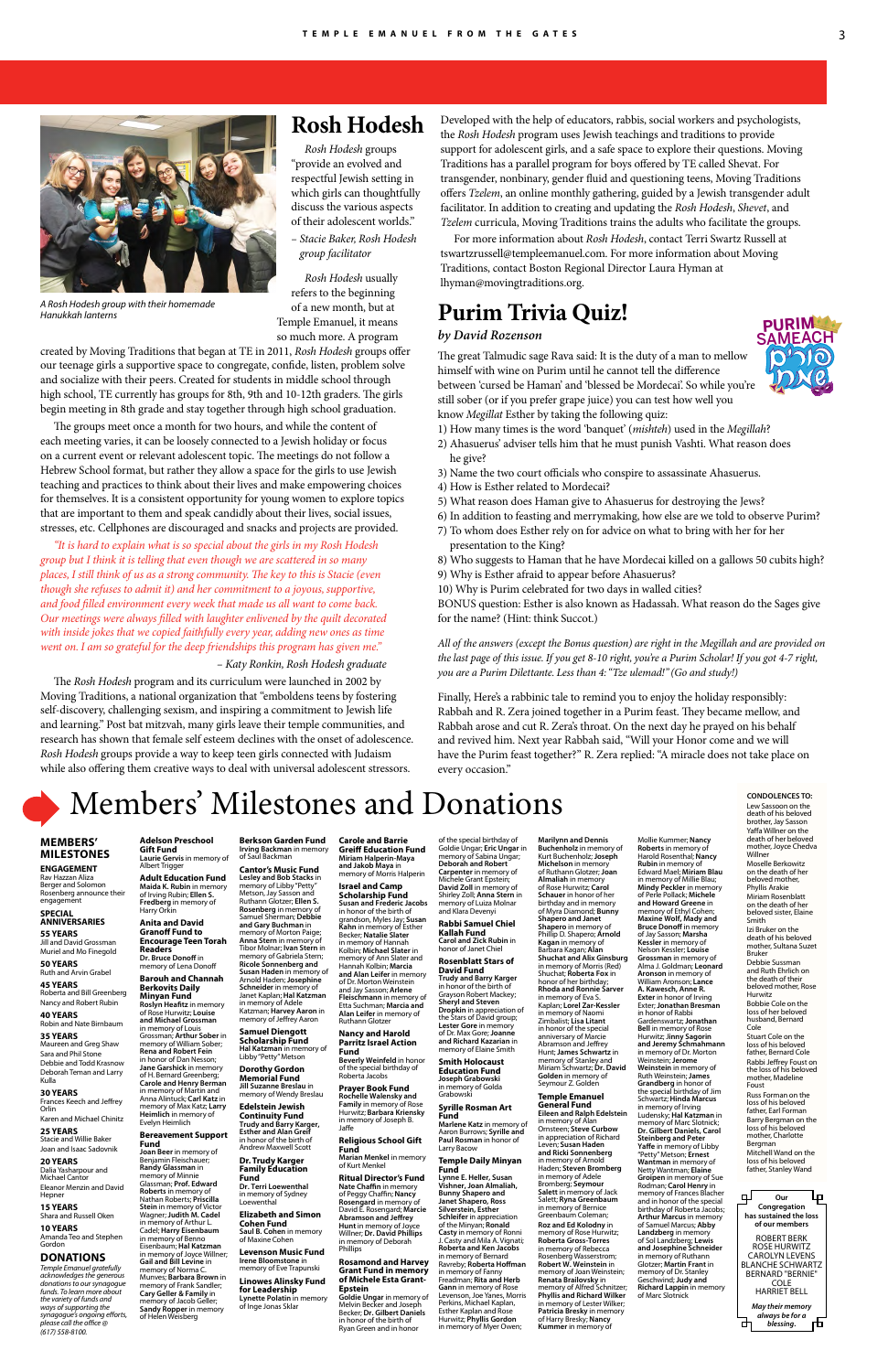**ENGAGEMENT** Rav Hazzan Aliza Berger and Solomon Rosenberg announce their engagement

# Members' Milestones and Donations

#### **MEMBERS' MILESTONES**

Jill and David Grossman Muriel and Mo Finegold **50 YEARS**

#### **SPECIAL ANNIVERSARIES 55 YEARS**

Ruth and Arvin Grabel **45 YEARS** Roberta and Bill Greenberg Nancy and Robert Rubin

#### **40 YEARS**

Robin and Nate Birnbaum

#### **35 YEARS**

Maureen and Greg Shaw Sara and Phil Stone Debbie and Todd Krasnow Deborah Teman and Larry Kulla

#### **30 YEARS**

Frances Keech and Jeffrey Orlin Karen and Michael Chinitz

#### **25 YEARS**

Stacie and Willie Baker Joan and Isaac Sadovnik

#### **20 YEARS**

Dalia Yasharpour and Michael Cantor

Eleanor Menzin and David Hepner

#### **15 YEARS**

Shara and Russell Oken

#### **10 YEARS**

Amanda Teo and Stephen Gordon

loss of her belove husband, Bernard Cole

#### **DONATIONS**

*Temple Emanuel gratefully acknowledges the generous donations to our synagogue funds. To learn more about the variety of funds and ways of supporting the synagogue's ongoing efforts, please call the office @ (617) 558-8100.*

٣ **Our**  上 **Congregation has sustained the loss of our members** ROBERT BERK ROSE HURWITZ CAROLYN LEVENS BLANCHE SCHWARTZ BERNARD "BERNIE" COLE HARRIET BELL *May their memory always be for a*  币 ᆎ *blessing***.**

**CONDOLENCES TO:** Lew Sassoon on the death of his beloved

**Joan Beer** in memory of Benjamin Fleischauer; **Randy Glassman** in memory of Minnie Glassman; **Prof. Edward Roberts** in memory of Nathan Roberts; **Priscilla Stein** in memory of Victor Wagner; **Judith M. Cadel** in memory of Arthur L. Cadel; **Harry Eisenbaum** in memory of Benno<br>Eisenbaum; **Hal Katzman**<br>in memory of Joyce Willner; Stuart Cole on the loss of his beloved father, Bernard Cole

Rabbi Jeffrey Foust on the loss of his beloved mother, Madeline Foust

Russ Forman on the loss of his beloved father, Earl Forman

Barry Bergman on the loss of his beloved mother, Charlotte Bergman Mitchell Wand on the loss of his beloved father, Stanley Wand

Albert Trigger **Adult Education Fund Maida K. Rubin** in memory of Irving Rubin; **Ellen S. Fredberg** in memory of Harry Orkin **Anita and David** 

**Granoff Fund to Encourage Teen Torah Readers Dr. Bruce Donoff** in memory of Lena Donoff

**Roslyn Heafitz** in memory of Rose Hurwitz; **Louise and Michael Grossman** in memory of Louis Grossman; **Arthur Sober** in

**Adelson Preschool Gift Fund Laurie Gervis** in memory of **Berkson Garden Fund Irving Backman** in memory of Saul Backman

#### **Bereavement Support Fund**

**Barouh and Channah Berkovits Daily Minyan Fund** Arnold Haden; **Josephine Schneider** in memor Janet Kaplan; **Hal Katzman**

> **Dropkin** in appreciation of the Stars of David group; **Lester Gore** in memory of Dr. Max Gore; **Joanne and Richard Kazarian** in memory of Elaine Smith

memory of William Sober; **Rena and Robert Fein** in honor of Dan Nesson; **Jane Garshick** in memory of H. Bernard Greenberg; **Carole and Henry Berman** in memory of Martin and Anna Alintuck; **Carl Katz** in memory of Max Katz; **Larry Heimlich** in memory of Evelyn Heimlich **Jill Suzanne Breslau** in **Edelstein Jewish** 

**Cantor's Music Fund Lesley and Bob Stacks** in memory of Libby "Petty" Metson, Jay Sasson and Ruthann Glotzer; **Ellen S. Rosenberg** in memory of Samuel Sherman; **Debbie and Gary Buchman** in memory of Morton Paige; **Anna Stern** in memory of Tibor Molnar; **Ivan Stern** in

**Marilynn and Dennis Buchenholz** in memory of Kurt Buchenholz; **Joseph Michelson** in memory of Ruthann Glotzer; **Joan Almaliah** in memory of Rose Hurwitz; **Carol Schauer** in honor of her birthday and in memory of Myra Diamond; **Bunny Shapero and Janet Shapero** in memory of Phillip D. Shapero; **Arnold Kagan** in memory of Barbara Kagan; **Alan Shuchat and Alix Ginsburg** in memory of Morris (Red) Shuchat; **Roberta Fox** in honor of her birthday; **Rhoda and Ronnie Sarver** in memory of Eva S.<br>Kaplan; **Lorel Zar-Kessler**<br>in memory of Naomi

**Gail and Bill Levine** in memory of Norma C. Munves; **Barbara Brown** in memory of Frank Sandler; **Cary Geller & Family** in memory of Jacob Geller **Sandy Ropper** in memory of Helen Weisberg **Levenson Music Fund Irene Bloomstone** in memory of Eve Trapunski **Linowes Alinsky Fund for Leadership Lynette Polatin** in memory of Inge Jonas Sklar

**Samuel Diengott Scholarship Fund Hal Katzman** in memory of Libby "Petty" Metson **Dorothy Gordon Memorial Fund**

memory of Wendy Breslau

**Continuity Fund Trudy and Barry Karger, Esther and Alan Greif** in honor of the birth of Andrew Maxwell Scott **Dr. Trudy Karger Family Education** 

**Fund**

**Dr. Terri Loewenthal** in memory of Sydney Loewenthal **Elizabeth and Simon Cohen Fund Saul B. Cohen** in memory of Maxine Cohen

memory of Gabriela Stern; **Ricole Sonnenberg and Susan Haden** in memory of memory of Morris Halperin **Israel and Camp Scholarship Fund Susan and Frederic Jacobs** in honor of the birth of grandson, Myles Jay; **Susan Kahn** in memory of Esther Becker; **Natalie Slater** in memory of Hannah Kolbin; **Michael Slater** in memory of Ann Slater and Hannah Kolbin; **Marcia and Alan Leifer** in memory of Dr. Morton Weinstein and Jay Sasson; **Arlene Fleischmann** in memory of Etta Suchman; **Marcia and** 

in memory of Adele Katzman; **Harvey Aaron** in memory of Jeffrey Aaron **Alan Leifer** in memory of Ruthann Glotzer

**Carole and Barrie Greiff Education Fund Miriam Halperin-Maya and Jakob Maya** in

> in memory of Alan<br>Ornsteen; **Steve Curbow**<br>in appreciation of Richard Leven; **Susan Haden and Ricki Sonnenberg** in memory of Arnold Haden; **Steven Bromberg** in memory of Adele Bromberg; **Seymour Salett** in memory of Jack Salett; **Ryna Greenbaum** in memory of Bernice Greenbaum Coleman; **Roz and Ed Kolodny** in memory of Rose Hurwitz; **Roberta Gross-Torres** in memory of Rebecca Rosenberg Wasserstrom;<br>**Robert W. Weinstein** in<br>memory of Joan Weinstein; **Renata Brailovsky** in memory of Alfred Schnitzer; **Phyllis and Richard Wilker** in memory of Lester Wilker; **Patricia Bresky** in memory of Harry Bresky; **Nancy**  memory of Dr. Stanley Geschwind; **Judy and**

#### **Nancy and Harold Parritz Israel Action Fund**

**Beverly Weinfeld** in honor of the special birthday of Roberta Jacobs

**Prayer Book Fund Rochelle Walensky and Family** in memory of Rose Hurwitz; **Barbara Kriensky** in memory of Joseph B. Jaffe

**Religious School Gift Fund**

**Marian Menkel** in memory of Kurt Menkel

### **Ritual Director's Fund**

**Nate Chaffin** in memory of Peggy Chaffin; **Nancy** 

brother, Jay Sasson Yaffa Willner on the death of her beloved mother, Joyce Chedva Willner Moselle Berkowitz on the death of her beloved mother,<br>Phyllis Arakie Miriam Rosenblatt on the death of her beloved sister, Elaine Smith Izi Bruker on the death of his belove mother, Sultana Suzet Bruker Debbie Sussman and Ruth Ehrlich on the death of their beloved mother, Rose **Hurwitz** Bobbie Cole on the Mollie Kummer; **Nancy Roberts** in memory of Harold Rosenthal; **Nancy Rubin** in memory of Edward Mael; **Miriam Blau**  in memory of Millie Blau; **Mindy Peckler** in memory of Perle Pollack; **Michele and Howard Greene** in memory of Ethyl Cohen; **Maxine Wolf, Mady and Bruce Donoff** in memory of Jay Sasson; **Marsha Kessler** in memory of Nelson Kessler; **Louise Grossman** in memory of Alma J. Goldman; **Leonard Aronson** in memory of William Aronson; **Lance A. Kawesch, Anne R. Exter** in honor of Irving<br>Exter; **Jonathan Bresman**<br>in honor of Rabbi Gardenswartz; **Jonathan Bell** in memory of Rose Hurwitz; J**inny Sagorin and Jeremy Schmahmann** in memory of Dr. Morton Weinstein; **Jerome Weinstein** in memory of Ruth Weinstein; **James Grandberg** in honor of the special birthday of Jim Schwartz; **Hinda Marcus** in memory of Irving Ludensky; **Hal Katzman** in memory of Marc Slotnick; **Dr. Gilbert Daniels, Carol Steinberg and Peter Yaffe** in memory of Libby "Petty" Metson; **Ernest Wantman** in memory of Netty Wantman; **Elaine Groipen** in memory of Sue Rodman; **Carol Henry** in memory of Frances Blacher and in honor of the special birthday of Roberta Jacobs; **Arthur Marcus** in memory of Samuel Marcus; **Abby Landzberg** in memory of Sol Landzberg; **Lewis and Josephine Schneider**

**Rosengard** in memory of David E. Rosengard; **Marcie Abramson and Jeffrey Hunt** in memory of Joyce Willner; **Dr. David Phillips** in memory of Deborah Phillips

**Rosamond and Harvey Grant Fund in memory of Michele Esta Grant-Epstein**

**Goldie Ungar** in memory of Melvin Becker and Joseph Becker; **Dr. Gilbert Daniels** in honor of the birth of Ryan Green and in honor

of the special birthday of Goldie Ungar; **Eric Ungar** in memory of Sabina Ungar; **Deborah and Robert Carpenter** in memory of Michele Grant Epstein; **David Zoll** in memory of Shirley Zoll; **Anna Stern** in memory of Luiza Molnar and Klara Devenyi **Rabbi Samuel Chiel Kallah Fund**

**Carol and Zick Rubin** in honor of Janet Chiel **Rosenblatt Stars of David Fund Trudy and Barry Karger** in honor of the birth of Grayson Robert Mackey; **Sheryl and Steven** 

**Smith Holocaust Education Fund Joseph Grabowski** in memory of Golda Grabowski

#### **Syrille Rosman Art Fund**

**Marlene Katz** in memory of Aaron Burrows; **Syrille and Paul Rosman** in honor of Larry Bacow

#### **Temple Daily Minyan Fund Lynne E. Heller, Susan**

**Vishner, Joan Almaliah, Bunny Shapero and Janet Shapero, Ross Silverstein, Esther Schleifer** in appreciation of the Minyan; **Ronald Casty** in memory of Ronni J. Casty and Mila A. Vignati; **Roberta and Ken Jacobs** in memory of Bernard Ravreby; **Roberta Hoffman** in memory of Fanny Freadman; **Rita and Herb Gann** in memory of Rose Levenson, Joe Yanes, Morris Perkins, Michael Kaplan,<br>Esther Kaplan and Rose<br>Hurwitz; **Phyllis Gordon** in memory of Myer Owen;

D'OIO DA C **SAMEACH PURIM** 

Zimbalist; **Lisa Litant** in honor of the special anniversary of Marcie Abramson and Jeffrey Hunt; **James Schwartz** in memory of Stanley and Miriam Schwartz; **Dr. David Golden** in memory of Seymour Z. Golden

#### **Temple Emanuel General Fund Eileen and Ralph Edelstein**

**Kummer** in memory of

in memory of Ruthann Glotzer; **Martin Frant** in

**Richard Lappin** in memory of Marc Slotnick

# **Rosh Hodesh**

*Rosh Hodesh* groups "provide an evolved and respectful Jewish setting in which girls can thoughtfully discuss the various aspects of their adolescent worlds." *– Stacie Baker, Rosh Hodesh group facilitator*

*Rosh Hodesh* usually refers to the beginning of a new month, but at Temple Emanuel, it means so much more. A program

created by Moving Traditions that began at TE in 2011, *Rosh Hodesh* groups offer our teenage girls a supportive space to congregate, confide, listen, problem solve and socialize with their peers. Created for students in middle school through high school, TE currently has groups for 8th, 9th and 10-12th graders. The girls begin meeting in 8th grade and stay together through high school graduation.

The groups meet once a month for two hours, and while the content of each meeting varies, it can be loosely connected to a Jewish holiday or focus on a current event or relevant adolescent topic. The meetings do not follow a Hebrew School format, but rather they allow a space for the girls to use Jewish teaching and practices to think about their lives and make empowering choices for themselves. It is a consistent opportunity for young women to explore topics that are important to them and speak candidly about their lives, social issues, stresses, etc. Cellphones are discouraged and snacks and projects are provided.

*"It is hard to explain what is so special about the girls in my Rosh Hodesh group but I think it is telling that even though we are scattered in so many places, I still think of us as a strong community. The key to this is Stacie (even though she refuses to admit it) and her commitment to a joyous, supportive, and food filled environment every week that made us all want to come back. Our meetings were always filled with laughter enlivened by the quilt decorated with inside jokes that we copied faithfully every year, adding new ones as time went on. I am so grateful for the deep friendships this program has given me." – Katy Ronkin, Rosh Hodesh graduate*

The *Rosh Hodesh* program and its curriculum were launched in 2002 by Moving Traditions, a national organization that "emboldens teens by fostering self-discovery, challenging sexism, and inspiring a commitment to Jewish life and learning." Post bat mitzvah, many girls leave their temple communities, and research has shown that female self esteem declines with the onset of adolescence. *Rosh Hodesh* groups provide a way to keep teen girls connected with Judaism while also offering them creative ways to deal with universal adolescent stressors.

Developed with the help of educators, rabbis, social workers and psychologists, the *Rosh Hodesh* program uses Jewish teachings and traditions to provide support for adolescent girls, and a safe space to explore their questions. Moving Traditions has a parallel program for boys offered by TE called Shevat. For transgender, nonbinary, gender fluid and questioning teens, Moving Traditions offers *Tzelem*, an online monthly gathering, guided by a Jewish transgender adult facilitator. In addition to creating and updating the *Rosh Hodesh*, *Shevet*, and *Tzelem* curricula, Moving Traditions trains the adults who facilitate the groups.

For more information about *Rosh Hodesh*, contact Terri Swartz Russell at tswartzrussell@templeemanuel.com. For more information about Moving Traditions, contact Boston Regional Director Laura Hyman at lhyman@movingtraditions.org.



*A Rosh Hodesh group with their homemade* 

# *Hanukkah lanterns* **Purim Trivia Quiz!**

#### *by David Rozenson*

The great Talmudic sage Rava said: It is the duty of a man to mellow himself with wine on Purim until he cannot tell the difference between 'cursed be Haman' and 'blessed be Mordecai'. So while you're still sober (or if you prefer grape juice) you can test how well you know *Megillat* Esther by taking the following quiz:

- 1) How many times is the word 'banquet' (*mishteh*) used in the *Megillah*?
- 2) Ahasuerus' adviser tells him that he must punish Vashti. What reason does he give?
- 3) Name the two court officials who conspire to assassinate Ahasuerus.
- 4) How is Esther related to Mordecai?
- 5) What reason does Haman give to Ahasuerus for destroying the Jews?
- 6) In addition to feasting and merrymaking, how else are we told to observe Purim?
- 7) To whom does Esther rely on for advice on what to bring with her for her presentation to the King?
- 8) Who suggests to Haman that he have Mordecai killed on a gallows 50 cubits high?
- 9) Why is Esther afraid to appear before Ahasuerus?
- 10) Why is Purim celebrated for two days in walled cities?

BONUS question: Esther is also known as Hadassah. What reason do the Sages give for the name? (Hint: think Succot.)

*All of the answers (except the Bonus question) are right in the Megillah and are provided on the last page of this issue. If you get 8-10 right, you're a Purim Scholar! If you got 4-7 right, you are a Purim Dilettante. Less than 4: "Tze ulemad!" (Go and study!)* 

Finally, Here's a rabbinic tale to remind you to enjoy the holiday responsibly: Rabbah and R. Zera joined together in a Purim feast. They became mellow, and Rabbah arose and cut R. Zera's throat. On the next day he prayed on his behalf and revived him. Next year Rabbah said, "Will your Honor come and we will have the Purim feast together?" R. Zera replied: "A miracle does not take place on every occasion."